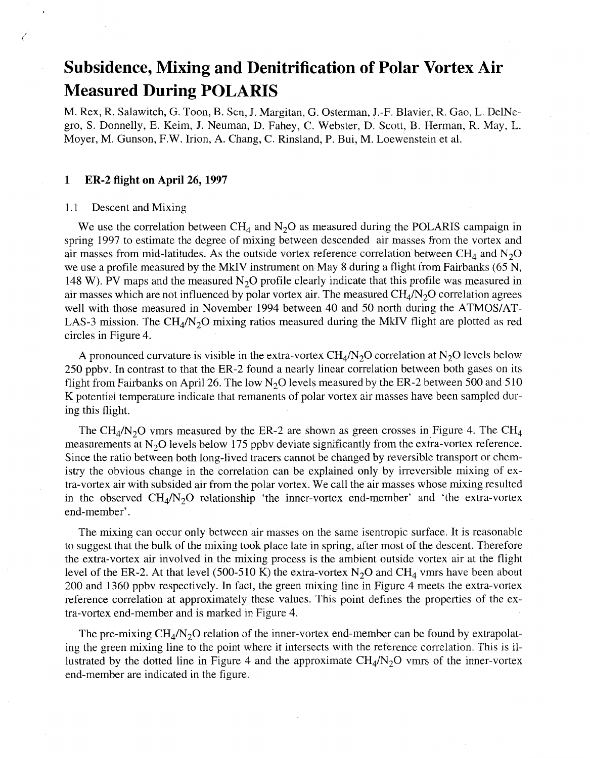# **Subsidence, Mixing and Denitrification of Polar Vortex Air Measured During POLARIS**

M. Rex, R. Salawitch, G. Toon, B. Sen, J. Margitan, G. Osterman, J.-F. Blavier, R. Gao, L. DelNegro, **S.** Donnelly, E. Keim, J. Neuman, D. Fahey, C. Webster, D. Scott, B. Herman, R. May, L. Moyer, M. Gunson, F.W. Irion, A. Chang, C. Rinsland, P. Bui, M. Loewenstein et al.

# **1 ER-2 flight on April 26,1997**

#### 1.1 Descent and Mixing

We use the correlation between  $\text{CH}_4$  and  $\text{N}_2\text{O}$  as measured during the POLARIS campaign in spring 1997 to estimate the degree of mixing between descended air masses from the vortex and air masses from mid-latitudes. As the outside vortex reference correlation between  $CH_4$  and  $N_2O$ we use a profile measured by the MkIV instrument on May 8 during a flight from Fairbanks (65 N, 148 W). PV maps and the measured  $N_2O$  profile clearly indicate that this profile was measured in air masses which are not influenced by polar vortex air. The measured  $CH<sub>4</sub>/N<sub>2</sub>O$  correlation agrees well with those measured in November 1994 between 40 and 50 north during the ATMOS/AT-LAS-3 mission. The CH<sub>4</sub>/N<sub>2</sub>O mixing ratios measured during the MkIV flight are plotted as red circles in Figure 4.

A pronounced curvature is visible in the extra-vortex  $CH_4/N_2O$  correlation at N<sub>2</sub>O levels below 250 ppbv. In contrast to that the ER-2 found a nearly linear correlation between both gases on its flight from Fairbanks on April 26. The low  $N<sub>2</sub>O$  levels measured by the ER-2 between 500 and 510 K potential temperature indicate that remanents of polar vortex air masses have been sampled during this flight.

The CH<sub>4</sub>/N<sub>2</sub>O vmrs measured by the ER-2 are shown as green crosses in Figure 4. The CH<sub>4</sub> measurements at  $N<sub>2</sub>O$  levels below 175 ppbv deviate significantly from the extra-vortex reference. Since the ratio between both long-lived tracers cannot be changed by reversible transport or chemistry the obvious change in the correlation can be explained only by irreversible mixing of extra-vortex air with subsided air from the polar vortex. We call the air masses whose mixing resulted in the observed  $CH_4/N_2O$  relationship 'the inner-vortex end-member' and 'the extra-vortex end-member' .

The mixing can occur only between air masses on the same isentropic surface. It is reasonable to suggest that the bulk of the mixing took place late in spring, after most of the descent. Therefore the extra-vortex air involved in the mixing process is the ambient outside vortex air at the flight level of the ER-2. At that level (500-510 K) the extra-vortex  $N_2O$  and CH<sub>4</sub> vmrs have been about 200 and 1360 ppbv respectively. In fact, the green mixing line in Figure 4 meets the extra-vortex reference correlation at approximately these values. This point defines the properties of the extra-vortex end-member and is marked in Figure 4.

The pre-mixing  $CH_4/N_2O$  relation of the inner-vortex end-member can be found by extrapolating the green mixing line to the point where it intersects with the reference correlation. This is illustrated by the dotted line in Figure 4 and the approximate  $CH_4/N_2O$  vmrs of the inner-vortex end-member are indicated in the figure.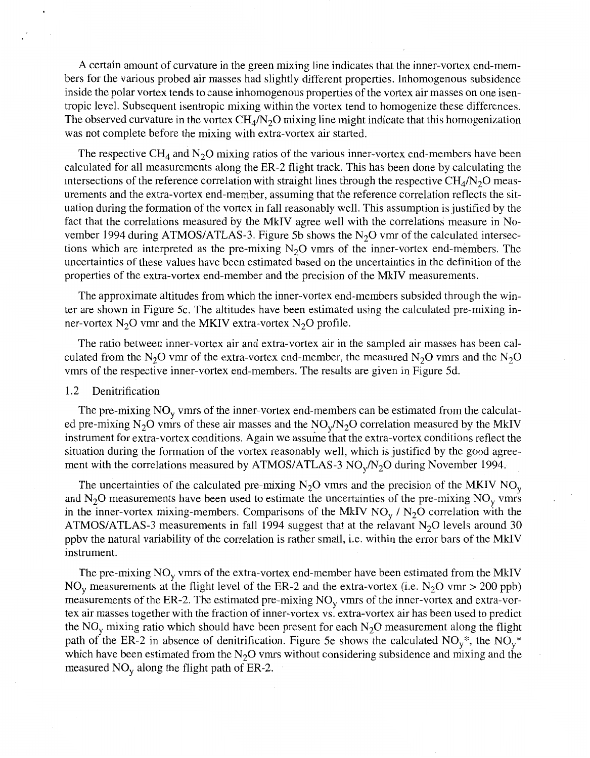A certain amount of curvature in the green mixing line indicates that the inner-vortex end-members for the various probed air masses had slightly different properties. Inhomogenous subsidence inside the polar vortex tends to cause inhomogenous properties of the vortex air masses on one isentropic level. Subsequent isentropic mixing within the vortex tend to homogenize these differences. The observed curvature in the vortex  $CH_4/N_2O$  mixing line might indicate that this homogenization was not complete before the mixing with extra-vortex air started.

The respective  $CH_4$  and  $N_2O$  mixing ratios of the various inner-vortex end-members have been calculated for all measurements along the ER-2 flight track. This has been done by calculating the intersections of the reference correlation with straight lines through the respective  $CH_4/N_2O$  measurements and the extra-vortex end-member, assuming that the reference correlation reflects the situation during the formation of the vortex in fall reasonably well. This assumption is justified by the fact that the correlations measured by the MkIV agree well with the correlations measure in November 1994 during ATMOS/ATLAS-3. Figure 5b shows the  $N<sub>2</sub>O$  vmr of the calculated intersections which are interpreted as the pre-mixing  $N_2O$  vmrs of the inner-vortex end-members. The uncertainties of these values have been estimated based on the uncertainties in the definition of the properties of the extra-vortex end-member and the precision of the MkIV measurements.

The approximate altitudes from which the inner-vortex end-members subsided through the winter are shown in Figure 5c. The altitudes have been estimated using the calculated pre-mixing inner-vortex  $N_2O$  vmr and the MKIV extra-vortex  $N_2O$  profile.

The ratio between inner-vortex air and extra-vortex air in the sampled air masses has been calculated from the N<sub>2</sub>O vmr of the extra-vortex end-member, the measured N<sub>2</sub>O vmrs and the N<sub>2</sub>O vmrs of the respective inner-vortex end-members. The results are given in Figure 5d.

#### 1.2 Denitrification

The pre-mixing  $NO<sub>y</sub>$  vmrs of the inner-vortex end-members can be estimated from the calculated pre-mixing N<sub>2</sub>O vmrs of these air masses and the  $NO<sub>v</sub>/N<sub>2</sub>O$  correlation measured by the MkIV instrument for extra-vortex conditions. Again we assume that the extra-vortex conditions reflect the situation during the formation of the vortex reasonably well, which is justified by the good agreement with the correlations measured by ATMOS/ATLAS-3  $NO<sub>v</sub>/N<sub>2</sub>O$  during November 1994.

The uncertainties of the calculated pre-mixing  $N_2O$  vmrs and the precision of the MKIV  $NO_v$ and  $N_2O$  measurements have been used to estimate the uncertainties of the pre-mixing  $NO_v$  vmrs in the inner-vortex mixing-members. Comparisons of the MkIV  $NO_y / N_2O$  correlation with the ATMOS/ATLAS-3 measurements in fall 1994 suggest that at the relavant  $N<sub>2</sub>O$  levels around 30 ppbv the natural variability of the correlation is rather small, i.e. within the error bars of the MkIV instrument.

The pre-mixing  $NO<sub>v</sub>$  vmrs of the extra-vortex end-member have been estimated from the MkIV NO<sub>y</sub> measurements at the flight level of the ER-2 and the extra-vortex (i.e. N<sub>2</sub>O vmr > 200 ppb) measurements of the ER-2. The estimated pre-mixing  $NO<sub>y</sub>$  vmrs of the inner-vortex and extra-vortex air masses together with the fraction of inner-vortex vs. extra-vortex air has been used to predict the NO<sub>y</sub> mixing ratio which should have been present for each N<sub>2</sub>O measurement along the flight path of the ER-2 in absence of denitrification. Figure 5e shows the calculated  $NO_v^*$ , the  $NO_v^*$ which have been estimated from the  $N_2O$  vmrs without considering subsidence and mixing and the measured  $NO<sub>v</sub>$  along the flight path of ER-2.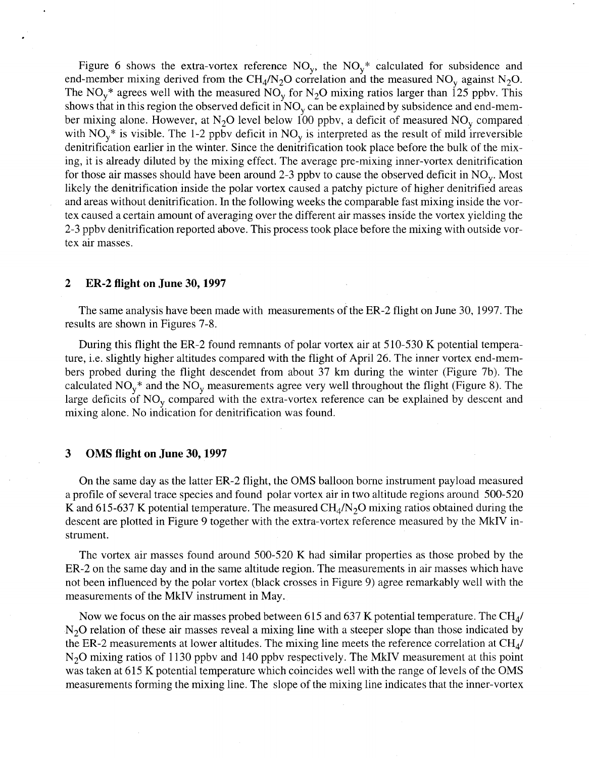Figure 6 shows the extra-vortex reference  $NO<sub>v</sub>$ , the  $NO<sub>v</sub><sup>*</sup>$  calculated for subsidence and end-member mixing derived from the CH<sub>4</sub>/N<sub>2</sub>O correlation and the measured NO<sub>v</sub> against N<sub>2</sub>O. The NO<sub>v</sub><sup>\*</sup> agrees well with the measured NO<sub>v</sub> for N<sub>2</sub>O mixing ratios larger than 125 ppbv. This shows that in this region the observed deficit in  $NO<sub>v</sub>$  can be explained by subsidence and end-member mixing alone. However, at N<sub>2</sub>O level below 100 ppbv, a deficit of measured NO<sub>v</sub> compared with  $NO_v^*$  is visible. The 1-2 ppbv deficit in  $NO_v$  is interpreted as the result of mild irreversible denitrification earlier in the winter. Since the denitrification took place before the bulk of the mixing, it is already diluted by the mixing effect. The average pre-mixing inner-vortex denitrification for those air masses should have been around 2-3 ppby to cause the observed deficit in  $NO_y$ . Most likely the denitrification inside the polar vortex caused a patchy picture of higher denitrified areas and areas without denitrification. In the following weeks the comparable fast mixing inside the vortex caused a certain amount of averaging over the different air masses inside the vortex yielding the 2-3 ppbv denitrification reported above. This process took place before the mixing with outside vortex air masses.

## **2 ER-2 flight on June 30,1997**

The same analysis have been made with measurements of the ER-2 flight on June 30, 1997. The results are shown in Figures 7-8.

During this flight the ER-2 found remnants of polar vortex air at 5 10-530 K potential temperature, i.e. slightly higher altitudes compared with the flight of April 26. The inner vortex end-members probed during the flight descendet from about 37 km during the winter (Figure 7b). The calculated  $NO_y^*$  and the  $NO_y$  measurements agree very well throughout the flight (Figure 8). The large deficits of  $NO<sub>v</sub>$  compared with the extra-vortex reference can be explained by descent and mixing alone. No indication for denitrification was found.

# **3 OMS flight on June 30,1997**

On the same day as the latter ER-2 flight, the OMS balloon borne instrument payload measured a profile of several trace species and found polar vortex air in two altitude regions around 500-520 K and 615-637 K potential temperature. The measured  $CH<sub>4</sub>/N<sub>2</sub>O$  mixing ratios obtained during the descent are plotted in Figure 9 together with the extra-vortex reference measured by the MkIV instrument.

The vortex air masses found around 500-520 K had similar properties as those probed by the ER-2 on the same day and in the same altitude region. The measurements in air masses which have not been influenced by the polar vortex (black crosses in Figure 9) agree remarkably well with the measurements of the MkIV instrument in May.

Now we focus on the air masses probed between 615 and 637 K potential temperature. The CH<sub>4</sub>/  $N<sub>2</sub>O$  relation of these air masses reveal a mixing line with a steeper slope than those indicated by the ER-2 measurements at lower altitudes. The mixing line meets the reference correlation at  $CH<sub>4</sub>/$ N<sub>2</sub>O mixing ratios of 1130 ppbv and 140 ppbv respectively. The MkIV measurement at this point was taken at 615 K potential temperature which coincides well with the range of levels of the OMS measurements forming the mixing line. The slope of the mixing line indicates that the inner-vortex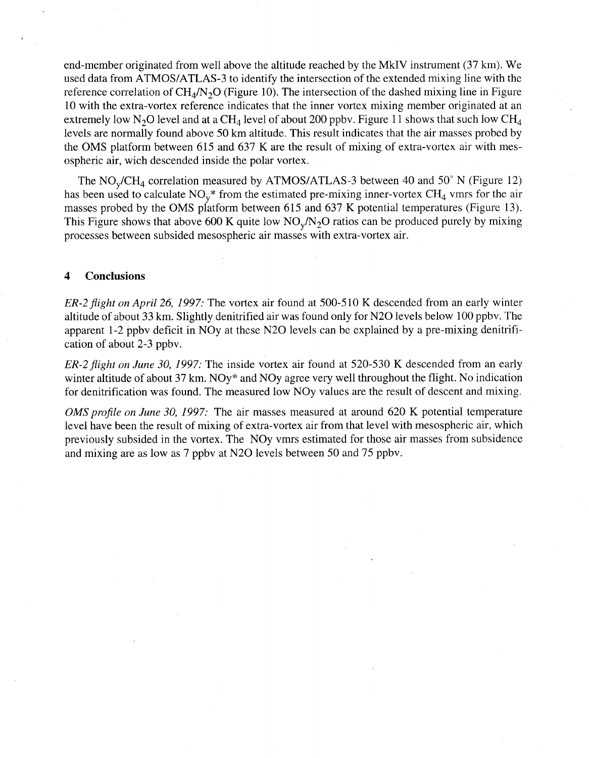end-member originated from well above the altitude reached by the MkIV instrument (37 km). We used data from ATMOS/ATLAS-3 to identify the intersection of the extended mixing line with the reference correlation of  $CH<sub>4</sub>/N<sub>2</sub>O$  (Figure 10). The intersection of the dashed mixing line in Figure 10 with the extra-vortex reference indicates that the inner vortex mixing member originated at an extremely low N<sub>2</sub>O level and at a CH<sub>4</sub> level of about 200 ppbv. Figure 11 shows that such low CH<sub>4</sub> levels are normally found above 50 km altitude. This result indicates that the air masses probed by the OMS platform between 615 and 637 K are the result of mixing of extra-vortex air with mesospheric air, wich descended inside the polar vortex.

The  $NO_v/CH_4$  correlation measured by ATMOS/ATLAS-3 between 40 and 50° N (Figure 12) has been used to calculate  $NO_v^*$  from the estimated pre-mixing inner-vortex  $CH_4$  vmrs for the air masses probed by the OMS platform between 615 and 637 K potential temperatures (Figure 13). This Figure shows that above 600 K quite low  $NO_v/N_2O$  ratios can be produced purely by mixing processes between subsided mesospheric air masses with extra-vortex air.

## **4 Conclusions**

*ER-2flight on April 26, 1997:* The vortex air found at 500-5 10 K descended from an early winter altitude of about 33 km. Slightly denitrified air was found only for N20 levels below 100 ppbv. The apparent 1-2 ppbv deficit in NOy at these N20 levels can be explained by a pre-mixing denitrification of about 2-3 ppbv.

*ER-2flight on June 30, 1997:* The inside vortex air found at 520-530 K descended from an early winter altitude of about 37 km. NOy\* and NOy agree very well throughout the flight. No indication for denitrification was found. The measured low NOy values are the result of descent and mixing.

*OMS profile on June 30, 1997:* The air masses measured at around 620 K potential temperature level have been the result of mixing of extra-vortex air from that level with mesospheric air, which previously subsided in the vortex. The NOy vmrs estimated for those air masses from subsidence and mixing are as low as 7 ppbv at N20 levels between 50 and 75 ppbv.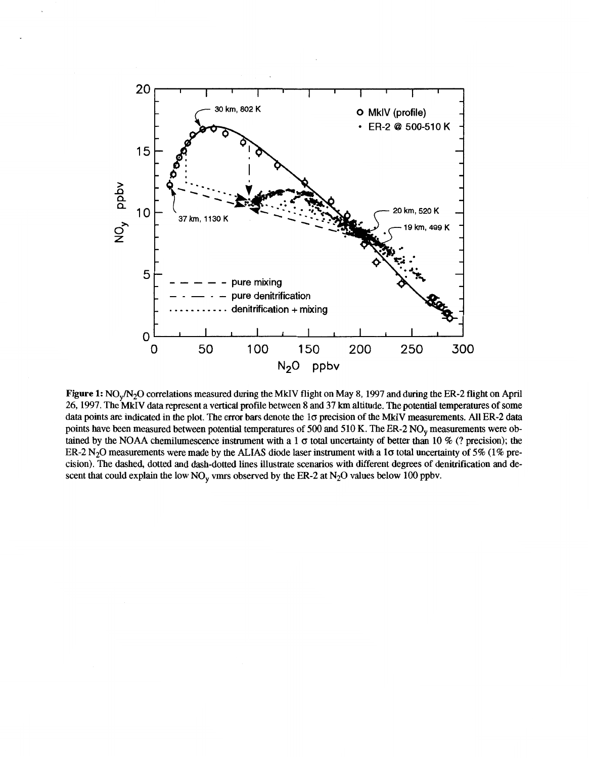

**Figure 1: NO<sub>v</sub>/N<sub>2</sub>O** correlations measured during the MkIV flight on May 8, 1997 and during the ER-2 flight on April 26,1997. The **MkIV** data represent a vertical profie between 8 and 37 **km** altitude. The potential temperatures of some data points are indicated in the plot. The error bars denote the 10 precision of the MkIV measurements. All ER-2 data points have been measured between potential temperatures of 500 and 510 K. The ER-2 NO<sub>y</sub> measurements were obtained by the **NOAA** chemilumescence instrument with a 1  $\sigma$  total uncertainty of better than 10 % (? precision); the ER-2 N<sub>2</sub>O measurements were made by the ALIAS diode laser instrument with a 1 $\sigma$  total uncertainty of 5% (1% precision). The dashed, dotted and dash-dotted lines illustrate scenarios with different degrees **of** denitrification and descent that could explain the low NO, vmrs observed by the ER-2 at N20 values below **100** ppbv.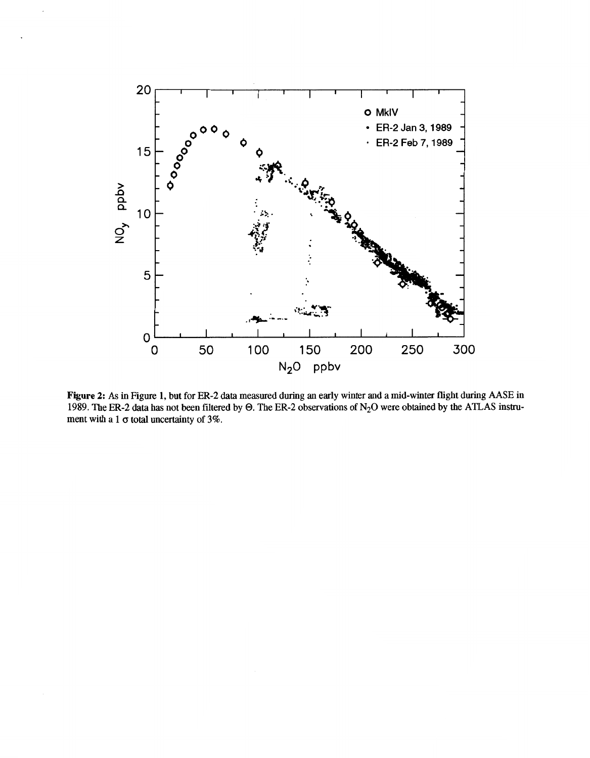

**Figure 2: As in Figure 1, but for ER-2 data measured during an early winter and amid-winter flight during AASE in**  1989. The ER-2 data has not been filtered by  $\Theta$ . The ER-2 observations of N<sub>2</sub>O were obtained by the ATLAS instrument with a  $1 \sigma$  total uncertainty of  $3\%$ .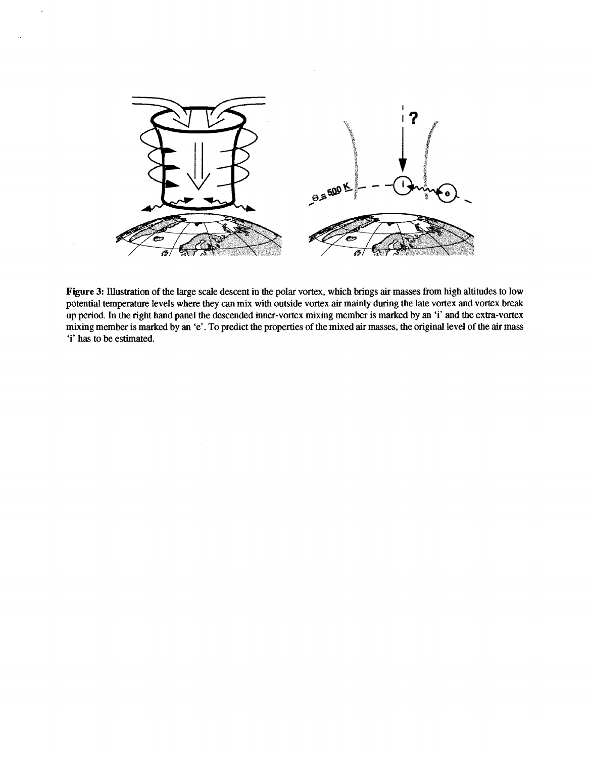

 $\ddot{\phantom{a}}$ 

**Figure 3:** Illustration of the large scale descent in the polar vortex, which brings air masses from high altitudes to low potential temperature levels where they *can* mix with outside vortex air mainly during the late vortex and vortex break up period. In the right hand panel the descended inner-vortex mixing member is marked by an 'i' and the extra-vortex mixing member is marked by an 'e'. To predict the properties of the mixed air masses, the original level of the air **mass**  'i' has to be estimated.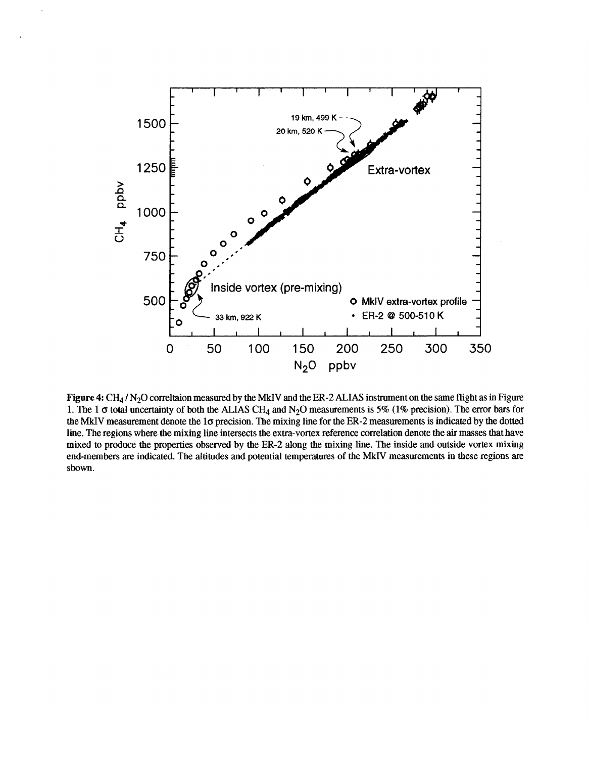

**Figure 4 CH4** / **N20** correltaion measured by the **MkIV** and the ER-2 **ALIAS** instrument on the same flight as in Figure **1.** The **1** *o* total uncertainty of both the **ALIAS CH4** and N20 measurements is 5% **(1%** precision). The error bars for the MkIV measurement denote the 1 $\sigma$  precision. The mixing line for the ER-2 measurements is indicated by the dotted line. The regions where the mixing line intersects the extra-vortex reference correlation denote the air masses that have mixed to produce the properties observed by the ER-2 along the mixing line. The inside and outside vortex mixing end-members are indicated. The altitudes and potential temperatures of the **MkIV** measurements in these regions are shown.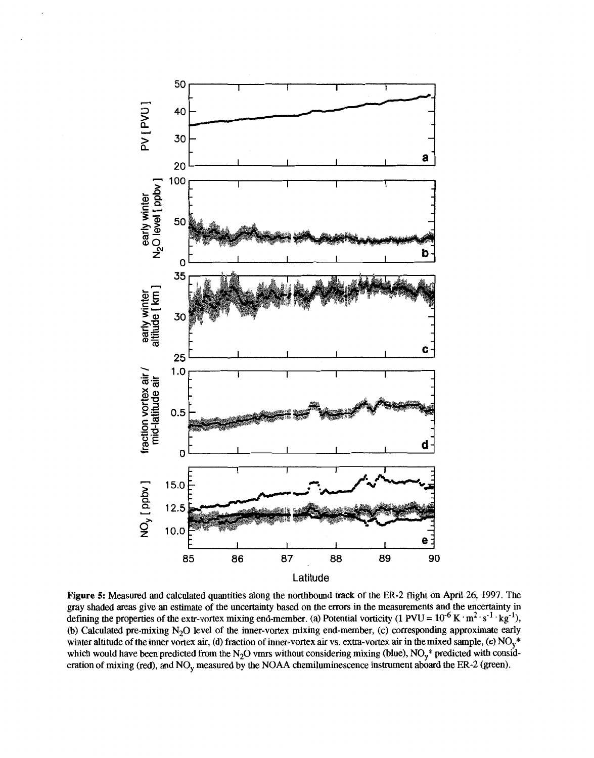

**Figure 5:** Measured and calculated quantities along the northbound track of the ER-2 flight on **April** 26, **1997.** The gray shaded areas give an estimate of the uncertainty based on the errors in the measurements and the uncertainty in defining the properties of the extr-vortex mixing end-member. (a) Potential vorticity  $(1 \text{ PVU} = 10^{-6} \text{ K} \cdot \text{m}^2 \cdot \text{s}^{-1} \cdot \text{kg}^{-1})$ , **(b)** Calculated pre-mixing **N20** level of the inner-vortex mixing end-member, (c) corresponding approximate early winter altitude of the inner vortex air, (d) fraction of inner-vortex air vs. extra-vortex air in the mixed sample, (e) NO<sub>v</sub><sup>\*</sup> which would have been predicted from the  $N_2O$  vmrs without considering mixing (blue),  $NO_y^*$  predicted with consideration of mixing (red), and NO<sub>y</sub> measured by the NOAA chemiluminescence instrument aboard the ER-2 (green).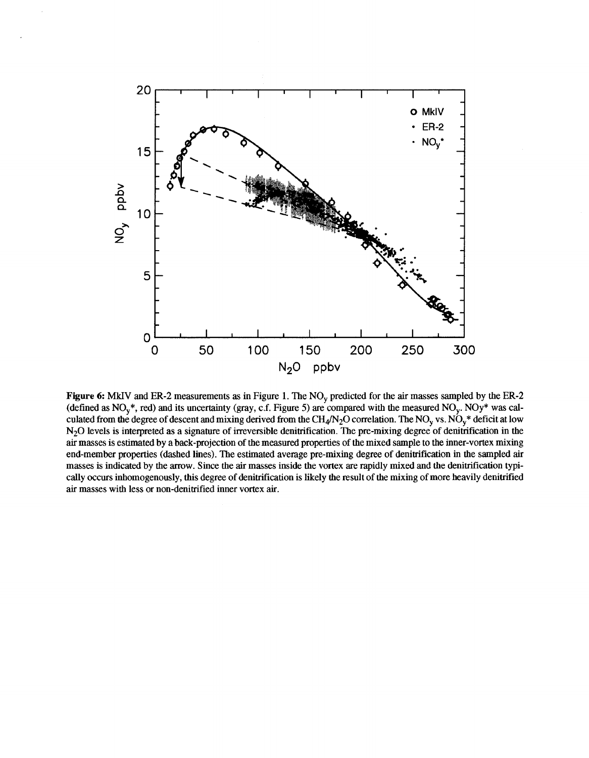

**Figure 6: MkIV and ER-2 measurements as in Figure 1. The NO<sub>y</sub> predicted for the air masses sampled by the ER-2** (defined as NO,\*, red) and its uncertainty (gray, c.f. Figure **5)** are compared with the measured NO,. NOy\* was calculated from the degree of descent and mixing derived from the CH<sub>4</sub>/N<sub>2</sub>O correlation. The NO<sub>y</sub> vs. NO<sub>y</sub>\* deficit at low N20 levels is interpreted as a signature of irreversible denitrification. The pre-mixing degree of denitrification in the air masses is estimated by a back-projection of the measured properties of the mixed sample to the inner-vortex mixing end-member properties (dashed lines). The estimated average pre-mixing degree of denitrification in the sampled air masses is indicated by the arrow. Since the air masses inside the vortex are rapidly mixed and the denitrification typically occurs inhomogenously, this degree of denitrification islikely the result of the mixing of more heavily denitrified air masses with less or non-denitrified inner vortex air.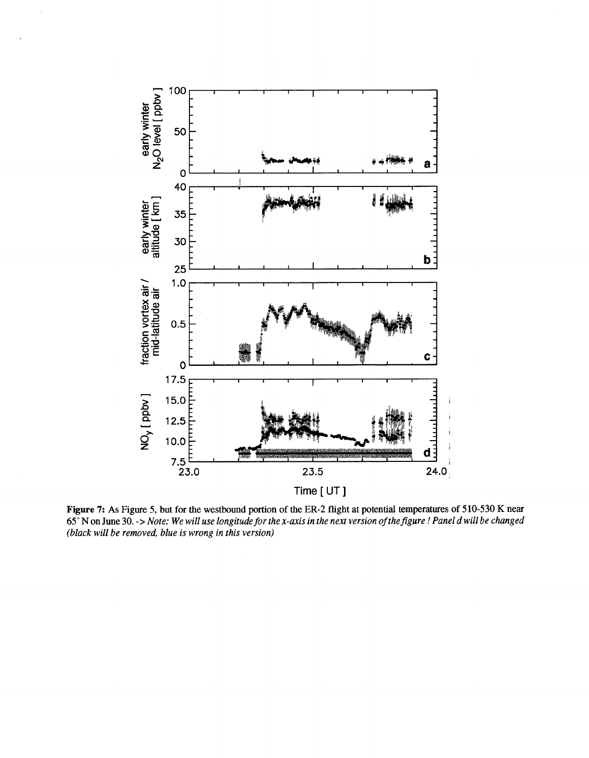

**Figure 7: As** Figure 5, but **for** the westbound portion **of** the **ER-2** flight at potential **temperatures of 510-530 K** near *65"* N **on June 30.** -> *Note: We will use longitude for the x-axis in the next version of thefigure* ! *Panel d will be changed (black will be removed, blue is wrong in this version)*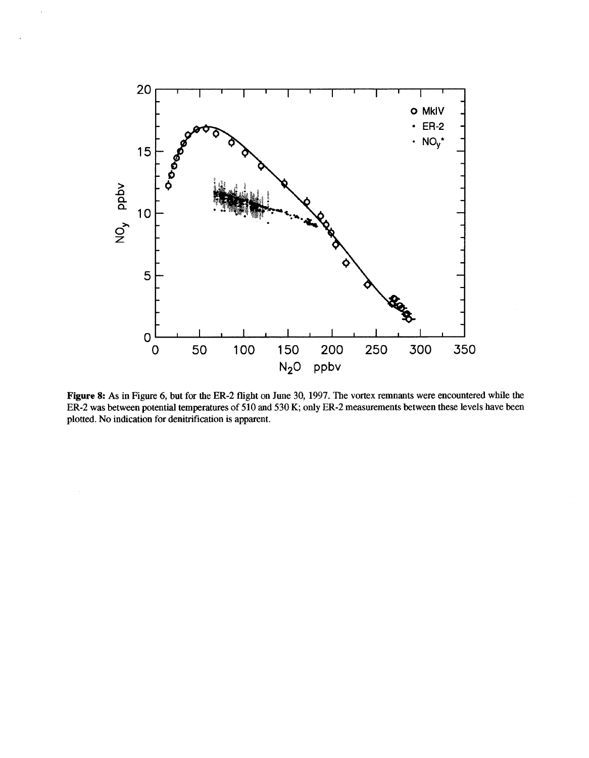

**Figure 8: As in Figure** *6,* **but for the ER-2 flight on June 30,** 1997. **The vortex remnants were encountered while the ER-2** was between potential temperatures of 510 and 530 K; only ER-2 measurements between these levels have been **plotted.** No **indication** for **denitrification is apparent.**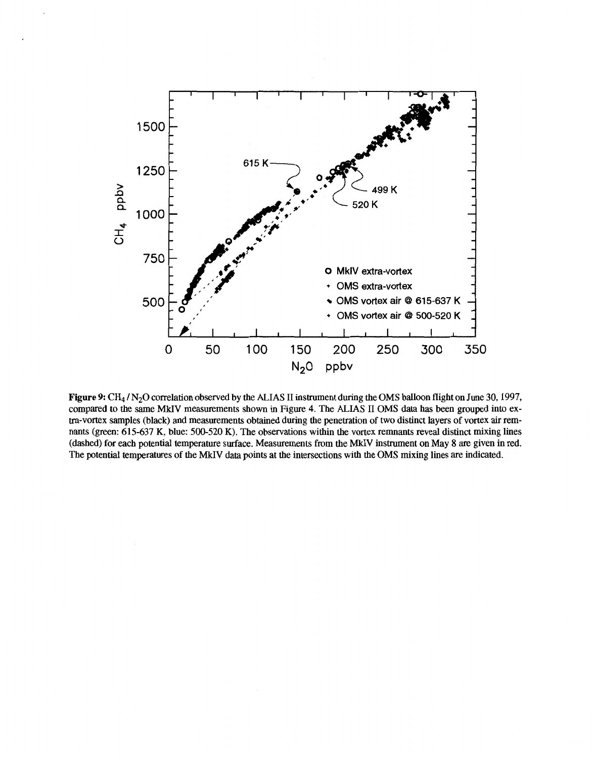

**Figure 9:** CH<sub>4</sub> / N<sub>2</sub>O correlation observed by the ALIAS II instrument during the OMS balloon flight on June 30, 1997, compared to the same MMV measurements shown in Figure **4.** The ALIAS I1 OMS data has been grouped into extra-vortex samples (black) and measurements obtained during the penetration of two distinct layers of vortex air remnants (green: 615-637 **K,** blue: 500-520 K). The observations within the vortex remnants reveal distinct mixing lines (dashed) for each potential temperature surface. Measurements from the MkIV instrument on May **8** are given in red. The potential temperatures of the MkIV data points at the intersections with the OMS mixing lines are indicated.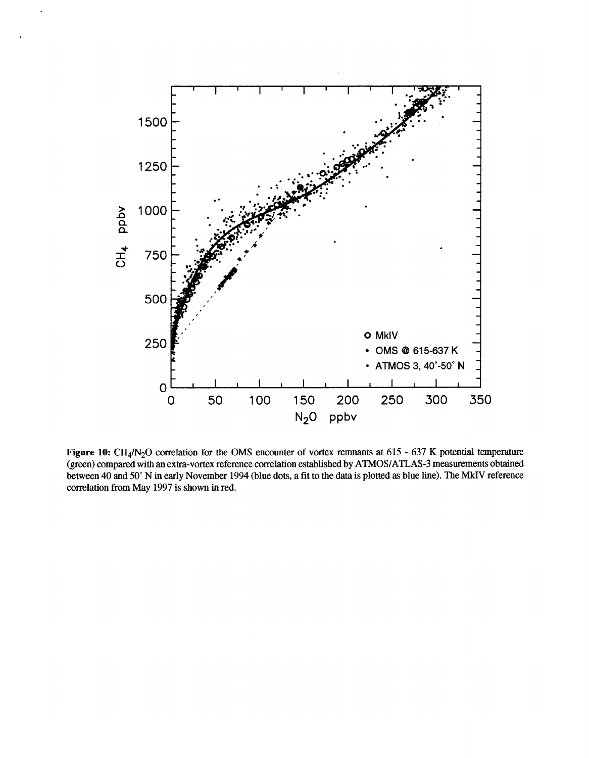

**Figure 10:** CH<sub>4</sub>/N<sub>2</sub>O correlation for the OMS encounter of vortex remnants at 615 - 637 K potential temperature **(green) compared with an extra-vortex reference correlation established by ATMOS/ATLAS-3 measurements obtained between 40 and 50" N in early November 1994 (blue dots, a fit to the data is plotted** as **blue line). The MkIV reference correlation from May 1997 is shown in red.**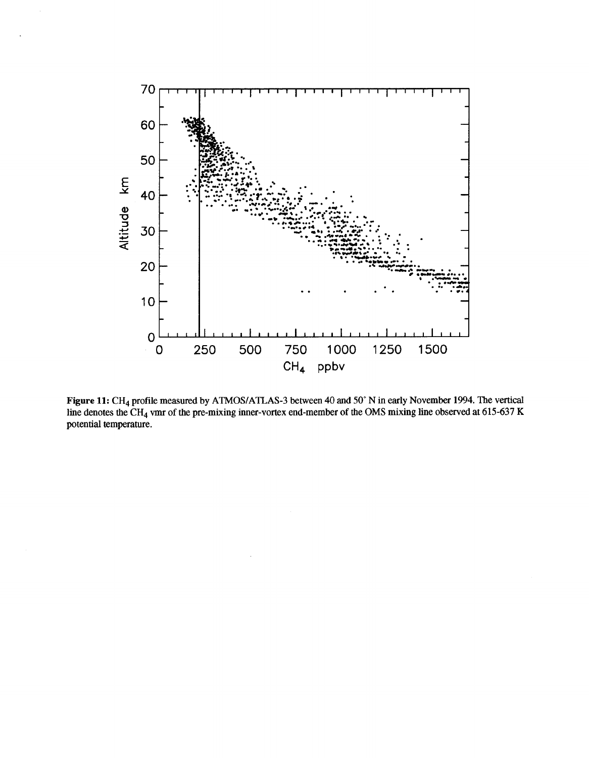

Figure 11: CH<sub>4</sub> profile measured by ATMOS/ATLAS-3 between 40 and 50° N in early November 1994. The vertical **line denotes the CH4 vmr** of **the pre-mixing inner-vortex end-member** of **the OMS mixing line observed at 615-637 K potential temperature.**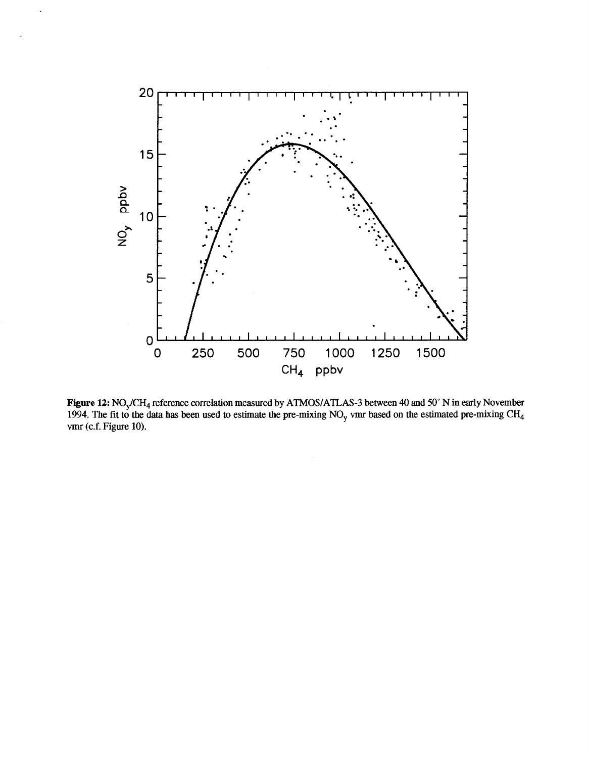

 $\ddot{\phantom{0}}$ 

**Figure 12: N0,/CH4 reference correlation measured by ATMOS/ATLAS-3 between** 40 **and 50" N in early November 1994. The fit to the data has been used to estimate the pre-mixing NO, vmr based on the estimated pre-mixing CH4 vmr (c.f. Figure 10).**